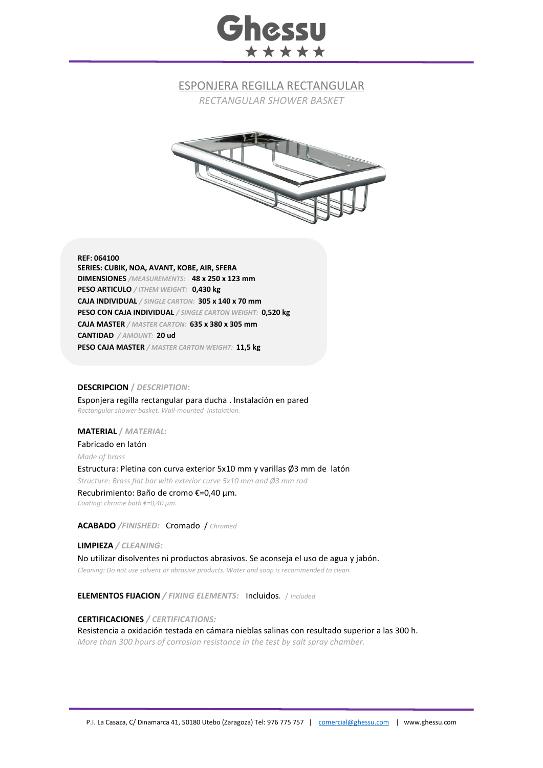# **Ghessu** \*\*\*\*\*

## ESPONJERA REGILLA RECTANGULAR

*RECTANGULAR SHOWER BASKET*



#### **REF: 064100**

**SERIES: CUBIK, NOA, AVANT, KOBE, AIR, SFERA DIMENSIONES** */MEASUREMENTS:* **48 x 250 x 123 mm PESO ARTICULO** */ ITHEM WEIGHT:* **0,430 kg CAJA INDIVIDUAL** */ SINGLE CARTON:* **305 x 140 x 70 mm PESO CON CAJA INDIVIDUAL** */ SINGLE CARTON WEIGHT:* **0,520 kg CAJA MASTER** */ MASTER CARTON:* **635 x 380 x 305 mm CANTIDAD** */ AMOUNT:* **20 ud PESO CAJA MASTER** */ MASTER CARTON WEIGHT:* **11,5 kg**

#### **DESCRIPCION /** *DESCRIPTION***:**

Esponjera regilla rectangular para ducha . Instalación en pared *Rectangular shower basket. Wall-mounted instalation.*

#### **MATERIAL /** *MATERIAL***:**

Fabricado en latón *Made of brass* Estructura: Pletina con curva exterior 5x10 mm y varillas Ø3 mm de latón *Structure: Brass flat bar with exterior curve 5x10 mm and Ø3 mm rod* Recubrimiento: Baño de cromo €=0,40 μm.

*Coating: chrome bath €=0,40 μm.*

### **ACABADO** */FINISHED:*Cromado / *Chromed*

**LIMPIEZA** */ CLEANING:* No utilizar disolventes ni productos abrasivos. Se aconseja el uso de agua y jabón. *Cleaning: Do not use solvent or abrasive products. Water and soap is recommended to clean.*

**ELEMENTOS FIJACION** */ FIXING ELEMENTS:* Incluidos*.* / *Included*

#### **CERTIFICACIONES** */ CERTIFICATIONS:*

Resistencia a oxidación testada en cámara nieblas salinas con resultado superior a las 300 h. *More than 300 hours of corrosion resistance in the test by salt spray chamber.*